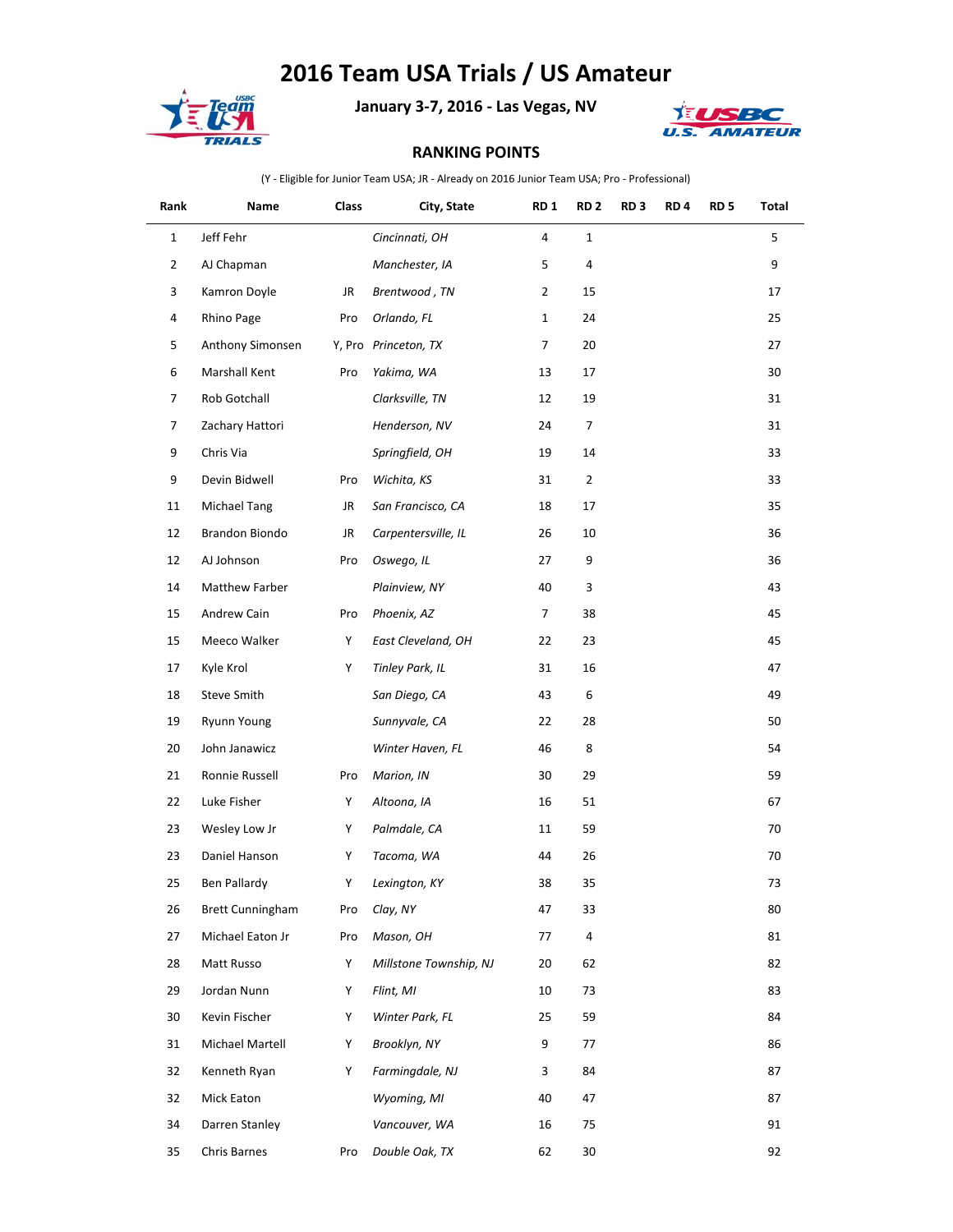## **2016 Team USA Trials / US Amateur**



**January 3-7, 2016 - Las Vegas, NV**



## **RANKING POINTS**

(Y - Eligible for Junior Team USA; JR - Already on 2016 Junior Team USA; Pro - Professional)

| Rank           | Name                    | Class | City, State            | RD <sub>1</sub> | RD <sub>2</sub> | RD <sub>3</sub> | RD <sub>4</sub> | RD <sub>5</sub> | Total |
|----------------|-------------------------|-------|------------------------|-----------------|-----------------|-----------------|-----------------|-----------------|-------|
| $\mathbf{1}$   | Jeff Fehr               |       | Cincinnati, OH         | 4               | $\mathbf{1}$    |                 |                 |                 | 5     |
| $\overline{2}$ | AJ Chapman              |       | Manchester, IA         | 5               | 4               |                 |                 |                 | 9     |
| 3              | Kamron Doyle            | JR    | Brentwood, TN          | $\overline{2}$  | 15              |                 |                 |                 | 17    |
| 4              | Rhino Page              | Pro   | Orlando, FL            | $\mathbf{1}$    | 24              |                 |                 |                 | 25    |
| 5              | Anthony Simonsen        |       | Y, Pro Princeton, TX   | 7               | 20              |                 |                 |                 | 27    |
| 6              | Marshall Kent           | Pro   | Yakima, WA             | 13              | 17              |                 |                 |                 | 30    |
| $\overline{7}$ | Rob Gotchall            |       | Clarksville, TN        | 12              | 19              |                 |                 |                 | 31    |
| $\overline{7}$ | Zachary Hattori         |       | Henderson, NV          | 24              | 7               |                 |                 |                 | 31    |
| 9              | Chris Via               |       | Springfield, OH        | 19              | 14              |                 |                 |                 | 33    |
| 9              | Devin Bidwell           | Pro   | Wichita, KS            | 31              | $\overline{2}$  |                 |                 |                 | 33    |
| 11             | <b>Michael Tang</b>     | JR    | San Francisco, CA      | 18              | 17              |                 |                 |                 | 35    |
| 12             | Brandon Biondo          | JR    | Carpentersville, IL    | 26              | 10              |                 |                 |                 | 36    |
| 12             | AJ Johnson              | Pro   | Oswego, IL             | 27              | 9               |                 |                 |                 | 36    |
| 14             | Matthew Farber          |       | Plainview, NY          | 40              | 3               |                 |                 |                 | 43    |
| 15             | Andrew Cain             | Pro   | Phoenix, AZ            | 7               | 38              |                 |                 |                 | 45    |
| 15             | Meeco Walker            | Υ     | East Cleveland, OH     | 22              | 23              |                 |                 |                 | 45    |
| 17             | Kyle Krol               | Y     | Tinley Park, IL        | 31              | 16              |                 |                 |                 | 47    |
| 18             | Steve Smith             |       | San Diego, CA          | 43              | 6               |                 |                 |                 | 49    |
| 19             | <b>Ryunn Young</b>      |       | Sunnyvale, CA          | 22              | 28              |                 |                 |                 | 50    |
| 20             | John Janawicz           |       | Winter Haven, FL       | 46              | 8               |                 |                 |                 | 54    |
| 21             | Ronnie Russell          | Pro   | Marion, IN             | 30              | 29              |                 |                 |                 | 59    |
| 22             | Luke Fisher             | Y     | Altoona, IA            | 16              | 51              |                 |                 |                 | 67    |
| 23             | Wesley Low Jr           | Y     | Palmdale, CA           | 11              | 59              |                 |                 |                 | 70    |
| 23             | Daniel Hanson           | Y     | Tacoma, WA             | 44              | 26              |                 |                 |                 | 70    |
| 25             | Ben Pallardy            | Y     | Lexington, KY          | 38              | 35              |                 |                 |                 | 73    |
| 26             | <b>Brett Cunningham</b> | Pro   | Clay, NY               | 47              | 33              |                 |                 |                 | 80    |
| 27             | Michael Eaton Jr        | Pro   | Mason, OH              | 77              | 4               |                 |                 |                 | 81    |
| 28             | Matt Russo              | Y     | Millstone Township, NJ | 20              | 62              |                 |                 |                 | 82    |
| 29             | Jordan Nunn             | Y     | Flint, MI              | 10              | 73              |                 |                 |                 | 83    |
| 30             | Kevin Fischer           | Y     | Winter Park, FL        | 25              | 59              |                 |                 |                 | 84    |
| 31             | Michael Martell         | Y     | Brooklyn, NY           | 9               | 77              |                 |                 |                 | 86    |
| 32             | Kenneth Ryan            | Υ     | Farmingdale, NJ        | 3               | 84              |                 |                 |                 | 87    |
| 32             | Mick Eaton              |       | Wyoming, MI            | 40              | 47              |                 |                 |                 | 87    |
| 34             | Darren Stanley          |       | Vancouver, WA          | 16              | 75              |                 |                 |                 | 91    |
| 35             | Chris Barnes            | Pro   | Double Oak, TX         | 62              | 30              |                 |                 |                 | 92    |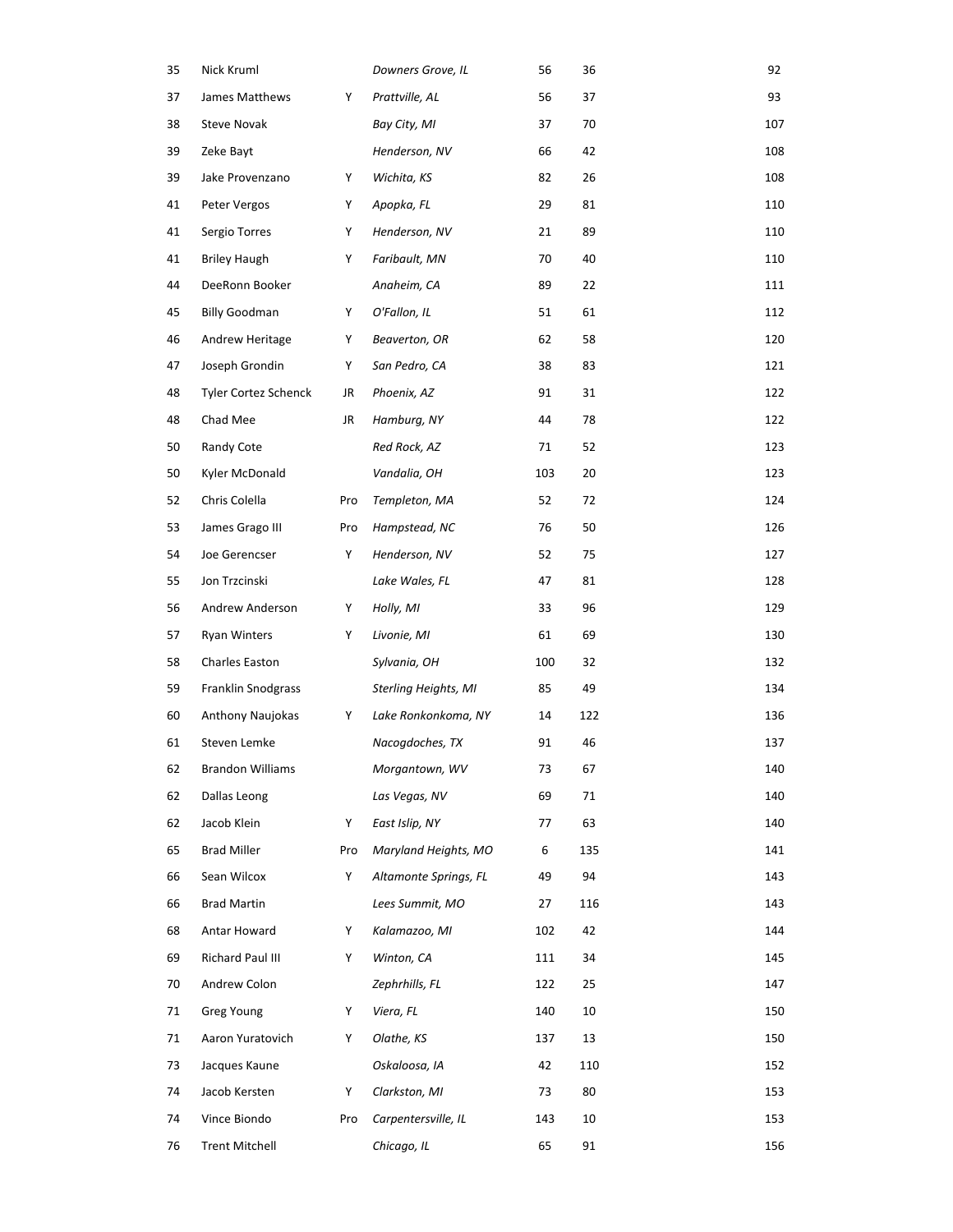| 35 | Nick Kruml                  |     | Downers Grove, IL     | 56  | 36  | 92  |
|----|-----------------------------|-----|-----------------------|-----|-----|-----|
| 37 | James Matthews              | Y   | Prattville, AL        | 56  | 37  | 93  |
| 38 | <b>Steve Novak</b>          |     | Bay City, MI          | 37  | 70  | 107 |
| 39 | Zeke Bayt                   |     | Henderson, NV         | 66  | 42  | 108 |
| 39 | Jake Provenzano             | Y   | Wichita, KS           | 82  | 26  | 108 |
| 41 | Peter Vergos                | Υ   | Apopka, FL            | 29  | 81  | 110 |
| 41 | Sergio Torres               | Y   | Henderson, NV         | 21  | 89  | 110 |
| 41 | <b>Briley Haugh</b>         | Y   | Faribault, MN         | 70  | 40  | 110 |
| 44 | DeeRonn Booker              |     | Anaheim, CA           | 89  | 22  | 111 |
| 45 | <b>Billy Goodman</b>        | Y   | O'Fallon, IL          | 51  | 61  | 112 |
| 46 | Andrew Heritage             | Y   | Beaverton, OR         | 62  | 58  | 120 |
| 47 | Joseph Grondin              | Y   | San Pedro, CA         | 38  | 83  | 121 |
| 48 | <b>Tyler Cortez Schenck</b> | JR  | Phoenix, AZ           | 91  | 31  | 122 |
| 48 | Chad Mee                    | JR  | Hamburg, NY           | 44  | 78  | 122 |
| 50 | Randy Cote                  |     | Red Rock, AZ          | 71  | 52  | 123 |
| 50 | Kyler McDonald              |     | Vandalia, OH          | 103 | 20  | 123 |
| 52 | Chris Colella               | Pro | Templeton, MA         | 52  | 72  | 124 |
| 53 | James Grago III             | Pro | Hampstead, NC         | 76  | 50  | 126 |
| 54 | Joe Gerencser               | Y   | Henderson, NV         | 52  | 75  | 127 |
| 55 | Jon Trzcinski               |     | Lake Wales, FL        | 47  | 81  | 128 |
| 56 | Andrew Anderson             | Y   | Holly, MI             | 33  | 96  | 129 |
| 57 | <b>Ryan Winters</b>         | Y   | Livonie, MI           | 61  | 69  | 130 |
| 58 | Charles Easton              |     | Sylvania, OH          | 100 | 32  | 132 |
| 59 | Franklin Snodgrass          |     | Sterling Heights, MI  | 85  | 49  | 134 |
| 60 | Anthony Naujokas            | Y   | Lake Ronkonkoma, NY   | 14  | 122 | 136 |
| 61 | Steven Lemke                |     | Nacogdoches, TX       | 91  | 46  | 137 |
| 62 | <b>Brandon Williams</b>     |     | Morgantown, WV        | 73  | 67  | 140 |
| 62 | Dallas Leong                |     | Las Vegas, NV         | 69  | 71  | 140 |
| 62 | Jacob Klein                 | Y   | East Islip, NY        | 77  | 63  | 140 |
| 65 | <b>Brad Miller</b>          | Pro | Maryland Heights, MO  | 6   | 135 | 141 |
| 66 | Sean Wilcox                 | Y   | Altamonte Springs, FL | 49  | 94  | 143 |
| 66 | <b>Brad Martin</b>          |     | Lees Summit, MO       | 27  | 116 | 143 |
| 68 | Antar Howard                | Y   | Kalamazoo, MI         | 102 | 42  | 144 |
| 69 | Richard Paul III            | Y   | Winton, CA            | 111 | 34  | 145 |
| 70 | Andrew Colon                |     | Zephrhills, FL        | 122 | 25  | 147 |
| 71 | Greg Young                  | Y   | Viera, FL             | 140 | 10  | 150 |
| 71 | Aaron Yuratovich            | Y   | Olathe, KS            | 137 | 13  | 150 |
| 73 | Jacques Kaune               |     | Oskaloosa, IA         | 42  | 110 | 152 |
| 74 | Jacob Kersten               | Y   | Clarkston, MI         | 73  | 80  | 153 |
| 74 | Vince Biondo                | Pro | Carpentersville, IL   | 143 | 10  | 153 |
| 76 | <b>Trent Mitchell</b>       |     | Chicago, IL           | 65  | 91  | 156 |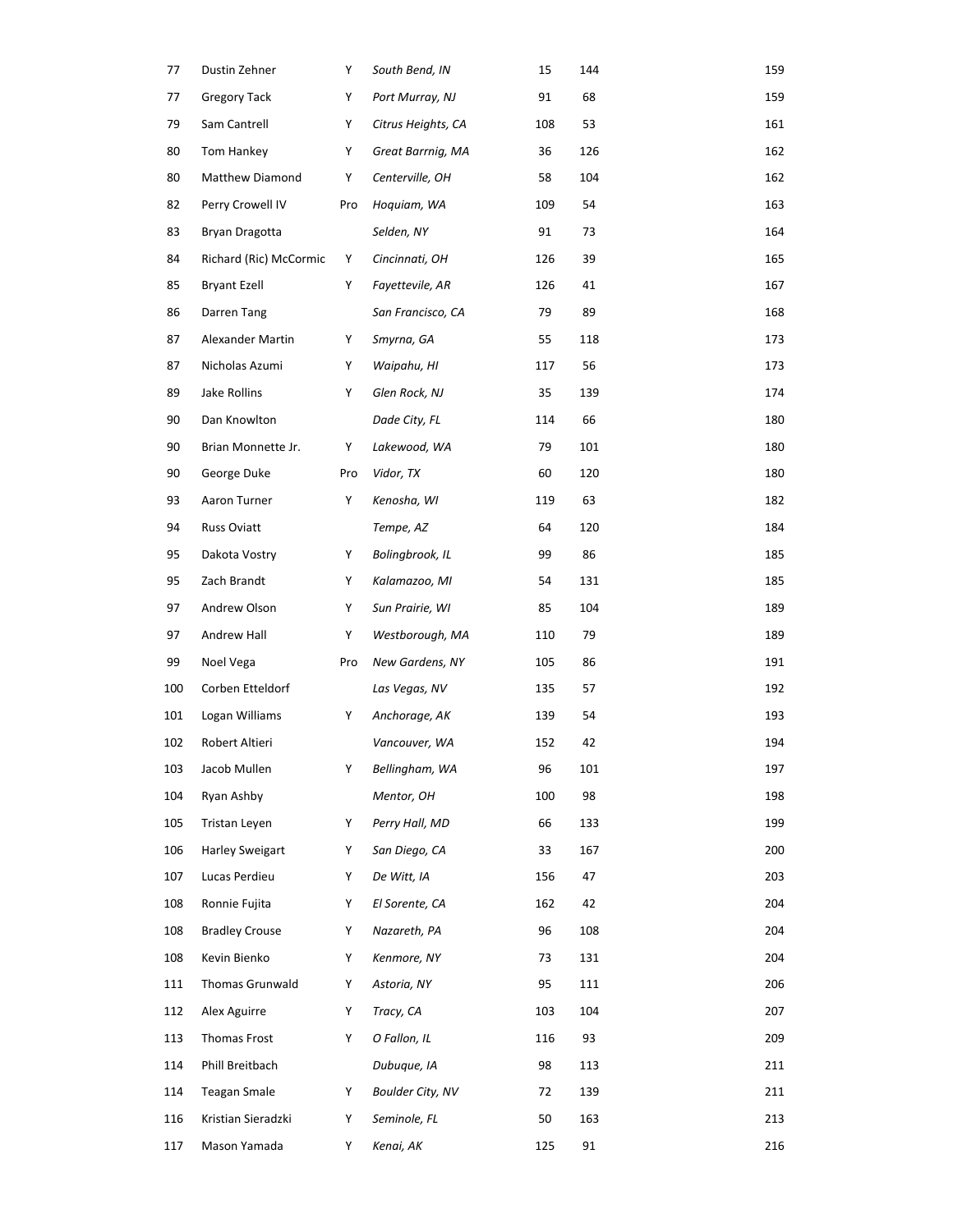| 77  | Dustin Zehner          | Y   | South Bend, IN          | 15  | 144 | 159 |
|-----|------------------------|-----|-------------------------|-----|-----|-----|
| 77  | <b>Gregory Tack</b>    | Y   | Port Murray, NJ         | 91  | 68  | 159 |
| 79  | Sam Cantrell           | Y   | Citrus Heights, CA      | 108 | 53  | 161 |
| 80  | Tom Hankey             | Y   | Great Barrnig, MA       | 36  | 126 | 162 |
| 80  | Matthew Diamond        | Y   | Centerville, OH         | 58  | 104 | 162 |
| 82  | Perry Crowell IV       | Pro | Hoquiam, WA             | 109 | 54  | 163 |
| 83  | Bryan Dragotta         |     | Selden, NY              | 91  | 73  | 164 |
| 84  | Richard (Ric) McCormic | Y   | Cincinnati, OH          | 126 | 39  | 165 |
| 85  | <b>Bryant Ezell</b>    | Y   | Fayettevile, AR         | 126 | 41  | 167 |
| 86  | Darren Tang            |     | San Francisco, CA       | 79  | 89  | 168 |
| 87  | Alexander Martin       | Y   | Smyrna, GA              | 55  | 118 | 173 |
| 87  | Nicholas Azumi         | Y   | Waipahu, HI             | 117 | 56  | 173 |
| 89  | Jake Rollins           | Y   | Glen Rock, NJ           | 35  | 139 | 174 |
| 90  | Dan Knowlton           |     | Dade City, FL           | 114 | 66  | 180 |
| 90  | Brian Monnette Jr.     | Υ   | Lakewood, WA            | 79  | 101 | 180 |
| 90  | George Duke            | Pro | Vidor, TX               | 60  | 120 | 180 |
| 93  | Aaron Turner           | Y   | Kenosha, WI             | 119 | 63  | 182 |
| 94  | Russ Oviatt            |     | Tempe, AZ               | 64  | 120 | 184 |
| 95  | Dakota Vostry          | Y   | Bolingbrook, IL         | 99  | 86  | 185 |
| 95  | Zach Brandt            | Y   | Kalamazoo, MI           | 54  | 131 | 185 |
| 97  | Andrew Olson           | Y   | Sun Prairie, WI         | 85  | 104 | 189 |
| 97  | Andrew Hall            | Y   | Westborough, MA         | 110 | 79  | 189 |
| 99  | Noel Vega              | Pro | New Gardens, NY         | 105 | 86  | 191 |
| 100 | Corben Etteldorf       |     | Las Vegas, NV           | 135 | 57  | 192 |
| 101 | Logan Williams         | Y   | Anchorage, AK           | 139 | 54  | 193 |
| 102 | Robert Altieri         |     | Vancouver, WA           | 152 | 42  | 194 |
| 103 | Jacob Mullen           | Y   | Bellingham, WA          | 96  | 101 | 197 |
| 104 | Ryan Ashby             |     | Mentor, OH              | 100 | 98  | 198 |
| 105 | Tristan Leyen          | Y   | Perry Hall, MD          | 66  | 133 | 199 |
| 106 | Harley Sweigart        | Y   | San Diego, CA           | 33  | 167 | 200 |
| 107 | Lucas Perdieu          | Y   | De Witt, IA             | 156 | 47  | 203 |
| 108 | Ronnie Fujita          | Y   | El Sorente, CA          | 162 | 42  | 204 |
| 108 | <b>Bradley Crouse</b>  | Y   | Nazareth, PA            | 96  | 108 | 204 |
| 108 | Kevin Bienko           | Y   | Kenmore, NY             | 73  | 131 | 204 |
| 111 | Thomas Grunwald        | Y   | Astoria, NY             | 95  | 111 | 206 |
| 112 | Alex Aguirre           | Y   | Tracy, CA               | 103 | 104 | 207 |
| 113 | Thomas Frost           | Y   | O Fallon, IL            | 116 | 93  | 209 |
| 114 | Phill Breitbach        |     | Dubuque, IA             | 98  | 113 | 211 |
| 114 | <b>Teagan Smale</b>    | Y   | <b>Boulder City, NV</b> | 72  | 139 | 211 |
| 116 | Kristian Sieradzki     | Y   | Seminole, FL            | 50  | 163 | 213 |
| 117 | Mason Yamada           | Y   | Kenai, AK               | 125 | 91  | 216 |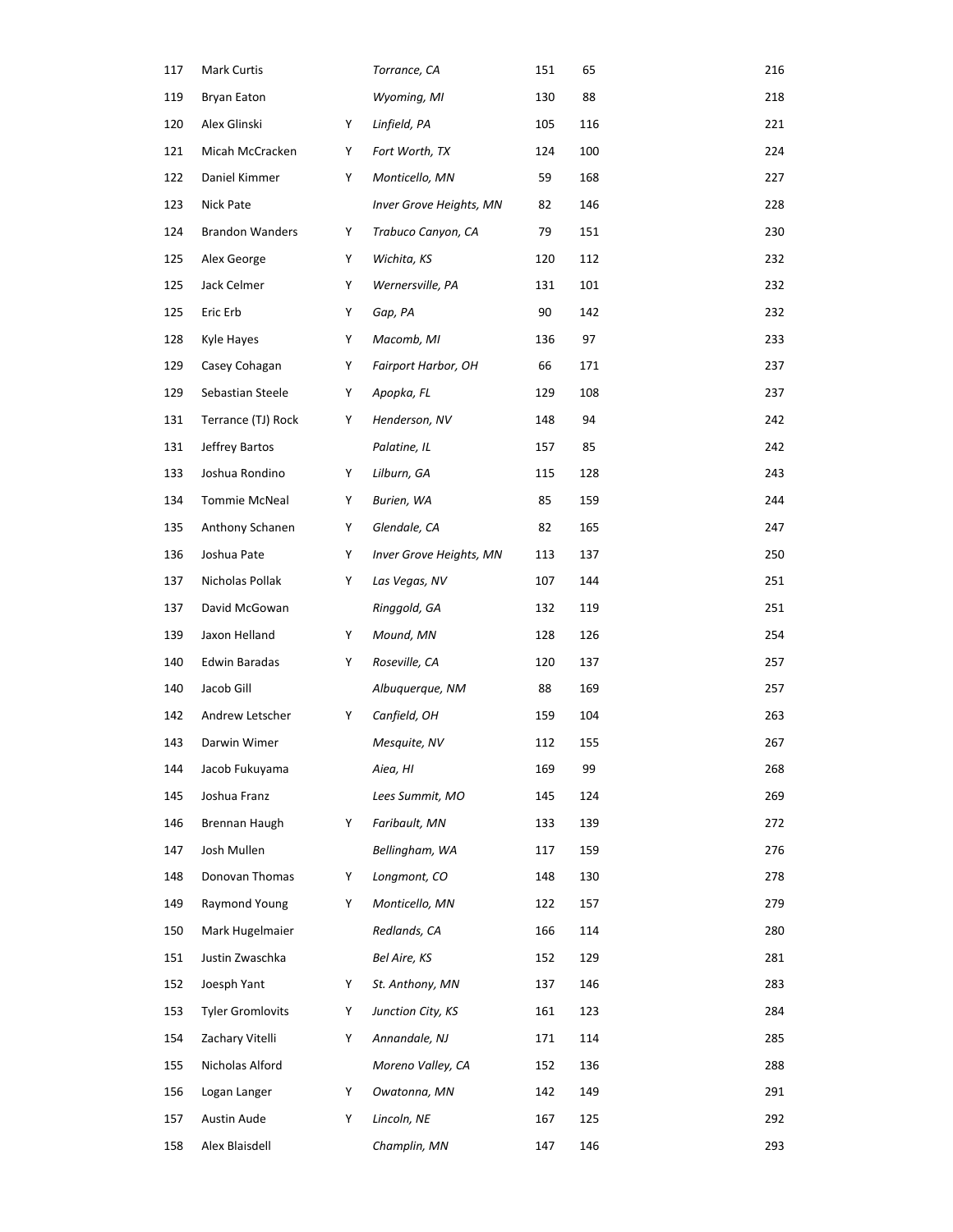| 117 | Mark Curtis             |   | Torrance, CA            | 151 | 65  | 216 |
|-----|-------------------------|---|-------------------------|-----|-----|-----|
| 119 | <b>Bryan Eaton</b>      |   | Wyoming, MI             | 130 | 88  | 218 |
| 120 | Alex Glinski            | Y | Linfield, PA            | 105 | 116 | 221 |
| 121 | Micah McCracken         | Y | Fort Worth, TX          | 124 | 100 | 224 |
| 122 | Daniel Kimmer           | Υ | Monticello, MN          | 59  | 168 | 227 |
| 123 | Nick Pate               |   | Inver Grove Heights, MN | 82  | 146 | 228 |
| 124 | <b>Brandon Wanders</b>  | Y | Trabuco Canyon, CA      | 79  | 151 | 230 |
| 125 | Alex George             | Y | Wichita, KS             | 120 | 112 | 232 |
| 125 | Jack Celmer             | Y | Wernersville, PA        | 131 | 101 | 232 |
| 125 | Eric Erb                | Y | Gap, PA                 | 90  | 142 | 232 |
| 128 | Kyle Hayes              | Y | Macomb, MI              | 136 | 97  | 233 |
| 129 | Casey Cohagan           | Υ | Fairport Harbor, OH     | 66  | 171 | 237 |
| 129 | Sebastian Steele        | Y | Apopka, FL              | 129 | 108 | 237 |
| 131 | Terrance (TJ) Rock      | Y | Henderson, NV           | 148 | 94  | 242 |
| 131 | Jeffrey Bartos          |   | Palatine, IL            | 157 | 85  | 242 |
| 133 | Joshua Rondino          | Y | Lilburn, GA             | 115 | 128 | 243 |
| 134 | Tommie McNeal           | Y | Burien, WA              | 85  | 159 | 244 |
| 135 | Anthony Schanen         | Y | Glendale, CA            | 82  | 165 | 247 |
| 136 | Joshua Pate             | Y | Inver Grove Heights, MN | 113 | 137 | 250 |
| 137 | Nicholas Pollak         | Y | Las Vegas, NV           | 107 | 144 | 251 |
| 137 | David McGowan           |   | Ringgold, GA            | 132 | 119 | 251 |
| 139 | Jaxon Helland           | Y | Mound, MN               | 128 | 126 | 254 |
| 140 | Edwin Baradas           | Y | Roseville, CA           | 120 | 137 | 257 |
| 140 | Jacob Gill              |   | Albuquerque, NM         | 88  | 169 | 257 |
| 142 | Andrew Letscher         | Y | Canfield, OH            | 159 | 104 | 263 |
| 143 | Darwin Wimer            |   | Mesquite, NV            | 112 | 155 | 267 |
| 144 | Jacob Fukuyama          |   | Aiea, HI                | 169 | 99  | 268 |
| 145 | Joshua Franz            |   | Lees Summit, MO         | 145 | 124 | 269 |
| 146 | Brennan Haugh           | Y | Faribault, MN           | 133 | 139 | 272 |
| 147 | Josh Mullen             |   | Bellingham, WA          | 117 | 159 | 276 |
| 148 | Donovan Thomas          | Y | Longmont, CO            | 148 | 130 | 278 |
| 149 | Raymond Young           | Y | Monticello, MN          | 122 | 157 | 279 |
| 150 | Mark Hugelmaier         |   | Redlands, CA            | 166 | 114 | 280 |
| 151 | Justin Zwaschka         |   | Bel Aire, KS            | 152 | 129 | 281 |
| 152 | Joesph Yant             | Y | St. Anthony, MN         | 137 | 146 | 283 |
| 153 | <b>Tyler Gromlovits</b> | Y | Junction City, KS       | 161 | 123 | 284 |
| 154 | Zachary Vitelli         | Υ | Annandale, NJ           | 171 | 114 | 285 |
| 155 | Nicholas Alford         |   | Moreno Valley, CA       | 152 | 136 | 288 |
| 156 | Logan Langer            | Y | Owatonna, MN            | 142 | 149 | 291 |
| 157 | Austin Aude             | Y | Lincoln, NE             | 167 | 125 | 292 |
| 158 | Alex Blaisdell          |   | Champlin, MN            | 147 | 146 | 293 |